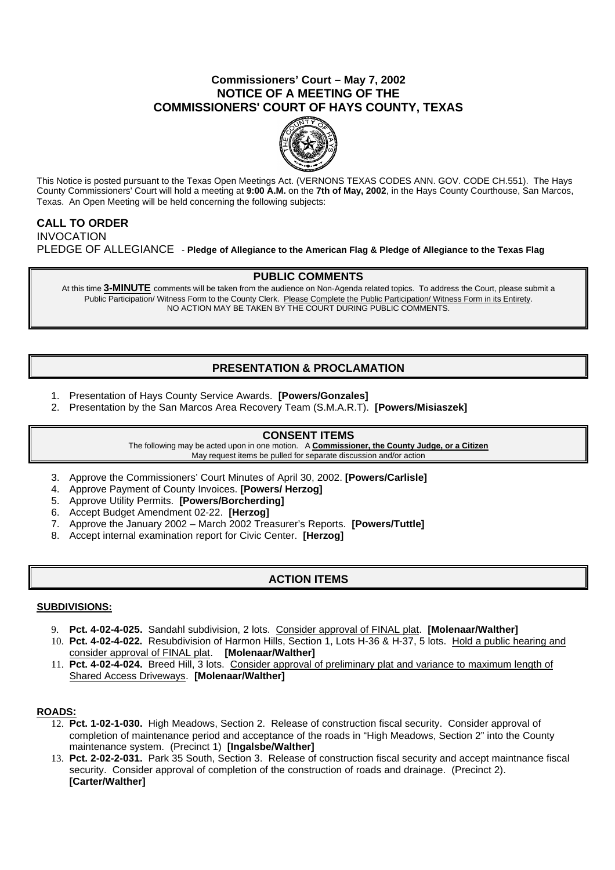### **Commissioners' Court – May 7, 2002 NOTICE OF A MEETING OF THE COMMISSIONERS' COURT OF HAYS COUNTY, TEXAS**



This Notice is posted pursuant to the Texas Open Meetings Act. (VERNONS TEXAS CODES ANN. GOV. CODE CH.551). The Hays County Commissioners' Court will hold a meeting at **9:00 A.M.** on the **7th of May, 2002**, in the Hays County Courthouse, San Marcos, Texas. An Open Meeting will be held concerning the following subjects:

## **CALL TO ORDER**

INVOCATION PLEDGE OF ALLEGIANCE - **Pledge of Allegiance to the American Flag & Pledge of Allegiance to the Texas Flag**

### **PUBLIC COMMENTS**

At this time **3-MINUTE** comments will be taken from the audience on Non-Agenda related topics. To address the Court, please submit a Public Participation/ Witness Form to the County Clerk. Please Complete the Public Participation/ Witness Form in its Entirety. NO ACTION MAY BE TAKEN BY THE COURT DURING PUBLIC COMMENTS.

# **PRESENTATION & PROCLAMATION**

- 1. Presentation of Hays County Service Awards. **[Powers/Gonzales]**
- 2. Presentation by the San Marcos Area Recovery Team (S.M.A.R.T). **[Powers/Misiaszek]**

### **CONSENT ITEMS**

The following may be acted upon in one motion. A **Commissioner, the County Judge, or a Citizen** May request items be pulled for separate discussion and/or action

- 3. Approve the Commissioners' Court Minutes of April 30, 2002. **[Powers/Carlisle]**
- 4. Approve Payment of County Invoices. **[Powers/ Herzog]**
- 5. Approve Utility Permits. **[Powers/Borcherding]**
- 6. Accept Budget Amendment 02-22. **[Herzog]**
- 7. Approve the January 2002 March 2002 Treasurer's Reports. **[Powers/Tuttle]**
- 8. Accept internal examination report for Civic Center. **[Herzog]**

# **ACTION ITEMS**

### **SUBDIVISIONS:**

- 9. **Pct. 4-02-4-025.** Sandahl subdivision, 2 lots. Consider approval of FINAL plat. **[Molenaar/Walther]**
- 10. **Pct. 4-02-4-022.** Resubdivision of Harmon Hills, Section 1, Lots H-36 & H-37, 5 lots. Hold a public hearing and consider approval of FINAL plat. **[Molenaar/Walther]**
- 11. **Pct. 4-02-4-024.** Breed Hill, 3 lots. Consider approval of preliminary plat and variance to maximum length of Shared Access Driveways. **[Molenaar/Walther]**

### **ROADS:**

- 12. **Pct. 1-02-1-030.** High Meadows, Section 2. Release of construction fiscal security. Consider approval of completion of maintenance period and acceptance of the roads in "High Meadows, Section 2" into the County maintenance system. (Precinct 1) **[Ingalsbe/Walther]**
- 13. **Pct. 2-02-2-031.** Park 35 South, Section 3. Release of construction fiscal security and accept maintnance fiscal security. Consider approval of completion of the construction of roads and drainage. (Precinct 2). **[Carter/Walther]**